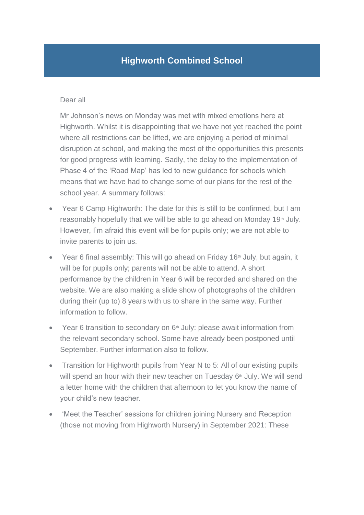## **Highworth Combined School**

## Dear all

Mr Johnson's news on Monday was met with mixed emotions here at Highworth. Whilst it is disappointing that we have not yet reached the point where all restrictions can be lifted, we are enjoying a period of minimal disruption at school, and making the most of the opportunities this presents for good progress with learning. Sadly, the delay to the implementation of Phase 4 of the 'Road Map' has led to new guidance for schools which means that we have had to change some of our plans for the rest of the school year. A summary follows:

- Year 6 Camp Highworth: The date for this is still to be confirmed, but I am reasonably hopefully that we will be able to go ahead on Monday 19<sup>th</sup> July. However, I'm afraid this event will be for pupils only; we are not able to invite parents to join us.
- Year 6 final assembly: This will go ahead on Friday 16<sup>th</sup> July, but again, it will be for pupils only; parents will not be able to attend. A short performance by the children in Year 6 will be recorded and shared on the website. We are also making a slide show of photographs of the children during their (up to) 8 years with us to share in the same way. Further information to follow.
- Year 6 transition to secondary on  $6<sup>th</sup>$  July: please await information from the relevant secondary school. Some have already been postponed until September. Further information also to follow.
- Transition for Highworth pupils from Year N to 5: All of our existing pupils will spend an hour with their new teacher on Tuesday  $6<sup>th</sup>$  July. We will send a letter home with the children that afternoon to let you know the name of your child's new teacher.
- 'Meet the Teacher' sessions for children joining Nursery and Reception (those not moving from Highworth Nursery) in September 2021: These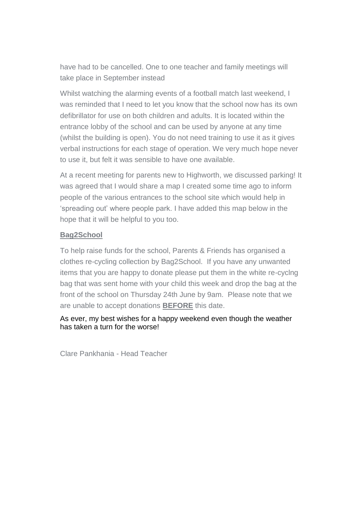have had to be cancelled. One to one teacher and family meetings will take place in September instead

Whilst watching the alarming events of a football match last weekend, I was reminded that I need to let you know that the school now has its own defibrillator for use on both children and adults. It is located within the entrance lobby of the school and can be used by anyone at any time (whilst the building is open). You do not need training to use it as it gives verbal instructions for each stage of operation. We very much hope never to use it, but felt it was sensible to have one available.

At a recent meeting for parents new to Highworth, we discussed parking! It was agreed that I would share a map I created some time ago to inform people of the various entrances to the school site which would help in 'spreading out' where people park. I have added this map below in the hope that it will be helpful to you too.

## **Bag2School**

To help raise funds for the school, Parents & Friends has organised a clothes re-cycling collection by Bag2School. If you have any unwanted items that you are happy to donate please put them in the white re-cyclng bag that was sent home with your child this week and drop the bag at the front of the school on Thursday 24th June by 9am. Please note that we are unable to accept donations **BEFORE** this date.

As ever, my best wishes for a happy weekend even though the weather has taken a turn for the worse!

Clare Pankhania - Head Teacher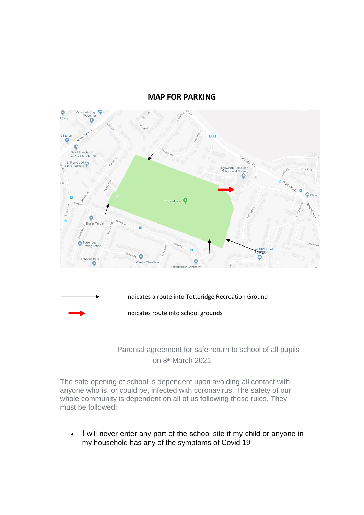## **MAP FOR PARKING**



 Parental agreement for safe return to school of all pupils on 8<sup>th</sup> March 2021

The safe opening of school is dependent upon avoiding all contact with anyone who is, or could be, infected with coronavirus. The safety of our whole community is dependent on all of us following these rules. They must be followed:

• I will never enter any part of the school site if my child or anyone in my household has any of the symptoms of Covid 19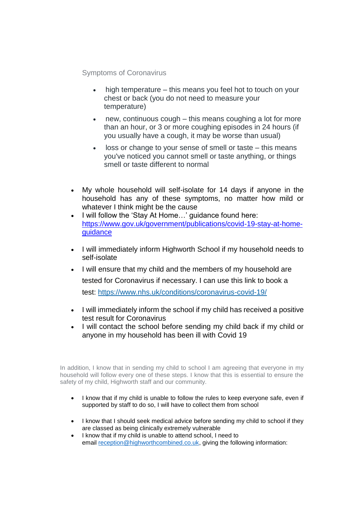Symptoms of Coronavirus

- high temperature this means you feel hot to touch on your chest or back (you do not need to measure your temperature)
- new, continuous cough this means coughing a lot for more than an hour, or 3 or more coughing episodes in 24 hours (if you usually have a cough, it may be worse than usual)
- loss or change to your sense of smell or taste this means you've noticed you cannot smell or taste anything, or things smell or taste different to normal
- My whole household will self-isolate for 14 days if anyone in the household has any of these symptoms, no matter how mild or whatever I think might be the cause
- I will follow the 'Stay At Home…' guidance found here: [https://www.gov.uk/government/publications/covid-19-stay-at-home](https://www.gov.uk/government/publications/covid-19-stay-at-home-guidance)[guidance](https://www.gov.uk/government/publications/covid-19-stay-at-home-guidance)
- I will immediately inform Highworth School if my household needs to self-isolate
- I will ensure that my child and the members of my household are tested for Coronavirus if necessary. I can use this link to book a test: <https://www.nhs.uk/conditions/coronavirus-covid-19/>
- I will immediately inform the school if my child has received a positive test result for Coronavirus
- I will contact the school before sending my child back if my child or anyone in my household has been ill with Covid 19

In addition, I know that in sending my child to school I am agreeing that everyone in my household will follow every one of these steps. I know that this is essential to ensure the safety of my child, Highworth staff and our community.

- I know that if my child is unable to follow the rules to keep everyone safe, even if supported by staff to do so, I will have to collect them from school
- I know that I should seek medical advice before sending my child to school if they are classed as being clinically extremely vulnerable
- I know that if my child is unable to attend school, I need to email [reception@highworthcombined.co.uk,](mailto:reception@highworthcombined.co.uk) giving the following information: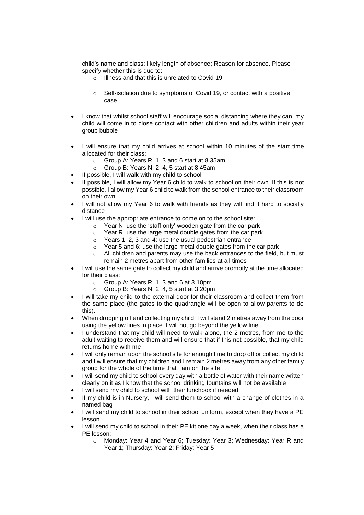child's name and class; likely length of absence; Reason for absence. Please specify whether this is due to:

- $\circ$  Illness and that this is unrelated to Covid 19
- o Self-isolation due to symptoms of Covid 19, or contact with a positive case
- I know that whilst school staff will encourage social distancing where they can, my child will come in to close contact with other children and adults within their year group bubble
- I will ensure that my child arrives at school within 10 minutes of the start time allocated for their class:
	- o Group A: Years R, 1, 3 and 6 start at 8.35am
	- o Group B: Years N, 2, 4, 5 start at 8.45am
- If possible, I will walk with my child to school
- If possible, I will allow my Year 6 child to walk to school on their own. If this is not possible, I allow my Year 6 child to walk from the school entrance to their classroom on their own
- I will not allow my Year 6 to walk with friends as they will find it hard to socially distance
- I will use the appropriate entrance to come on to the school site:
	- $\circ$  Year N: use the 'staff only' wooden gate from the car park
	- o Year R: use the large metal double gates from the car park
	- $\circ$  Years 1, 2, 3 and 4: use the usual pedestrian entrance
	- o Year 5 and 6: use the large metal double gates from the car park
	- $\circ$  All children and parents may use the back entrances to the field, but must remain 2 metres apart from other families at all times
- I will use the same gate to collect my child and arrive promptly at the time allocated for their class:
	- o Group A: Years R, 1, 3 and 6 at 3.10pm
	- o Group B: Years N, 2, 4, 5 start at 3.20pm
- I will take my child to the external door for their classroom and collect them from the same place (the gates to the quadrangle will be open to allow parents to do this).
- When dropping off and collecting my child, I will stand 2 metres away from the door using the yellow lines in place. I will not go beyond the yellow line
- I understand that my child will need to walk alone, the 2 metres, from me to the adult waiting to receive them and will ensure that if this not possible, that my child returns home with me
- I will only remain upon the school site for enough time to drop off or collect my child and I will ensure that my children and I remain 2 metres away from any other family group for the whole of the time that I am on the site
- I will send my child to school every day with a bottle of water with their name written clearly on it as I know that the school drinking fountains will not be available
- I will send my child to school with their lunchbox if needed
- If my child is in Nursery, I will send them to school with a change of clothes in a named bag
- I will send my child to school in their school uniform, except when they have a PE lesson
- I will send my child to school in their PE kit one day a week, when their class has a PE lesson:
	- o Monday: Year 4 and Year 6; Tuesday: Year 3; Wednesday: Year R and Year 1; Thursday: Year 2; Friday: Year 5